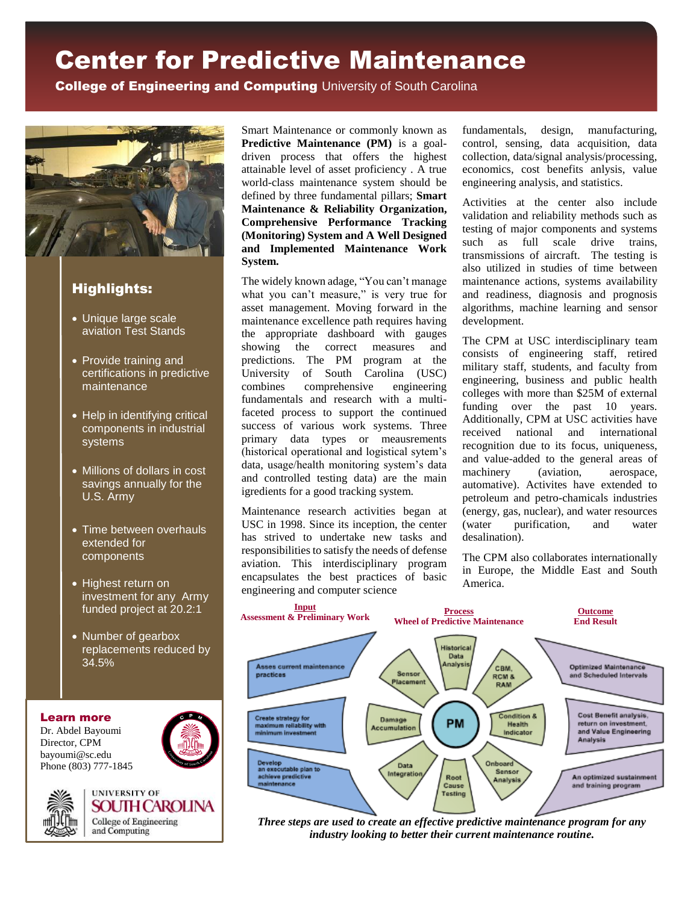# Center for Predictive Maintenance

**College of Engineering and Computing University of South Carolina** 



# Highlights:

- Unique large scale aviation Test Stands
- Provide training and certifications in predictive maintenance
- Help in identifying critical components in industrial systems
- Millions of dollars in cost savings annually for the U.S. Army
- Time between overhauls extended for components
- Highest return on investment for any Army funded project at 20.2:1
- Number of gearbox replacements reduced by 34.5%

#### Learn more

Dr. Abdel Bayoumi Director, CPM bayoumi@sc.edu Phone (803) 777-1845





Smart Maintenance or commonly known as **Predictive Maintenance (PM)** is a goaldriven process that offers the highest attainable level of asset proficiency . A true world-class maintenance system should be defined by three fundamental pillars; **Smart Maintenance & Reliability Organization, Comprehensive Performance Tracking (Monitoring) System and A Well Designed and Implemented Maintenance Work System.**

The widely known adage, "You can't manage what you can't measure," is very true for asset management. Moving forward in the maintenance excellence path requires having the appropriate dashboard with gauges showing the correct measures and predictions. The PM program at the University of South Carolina (USC) combines comprehensive engineering fundamentals and research with a multifaceted process to support the continued success of various work systems. Three primary data types or meausrements (historical operational and logistical sytem's data, usage/health monitoring system's data and controlled testing data) are the main igredients for a good tracking system.

Maintenance research activities began at USC in 1998. Since its inception, the center has strived to undertake new tasks and responsibilities to satisfy the needs of defense aviation. This interdisciplinary program encapsulates the best practices of basic engineering and computer science

fundamentals, design, manufacturing, control, sensing, data acquisition, data collection, data/signal analysis/processing, economics, cost benefits anlysis, value engineering analysis, and statistics.

Activities at the center also include validation and reliability methods such as testing of major components and systems such as full scale drive trains, transmissions of aircraft. The testing is also utilized in studies of time between maintenance actions, systems availability and readiness, diagnosis and prognosis algorithms, machine learning and sensor development.

The CPM at USC interdisciplinary team consists of engineering staff, retired military staff, students, and faculty from engineering, business and public health colleges with more than \$25M of external funding over the past 10 years. Additionally, CPM at USC activities have received national and international recognition due to its focus, uniqueness, and value-added to the general areas of machinery (aviation, aerospace, automative). Activites have extended to petroleum and petro-chamicals industries (energy, gas, nuclear), and water resources (water purification, and water desalination).

The CPM also collaborates internationally in Europe, the Middle East and South America.



*Three steps are used to create an effective predictive maintenance program for any industry looking to better their current maintenance routine.*